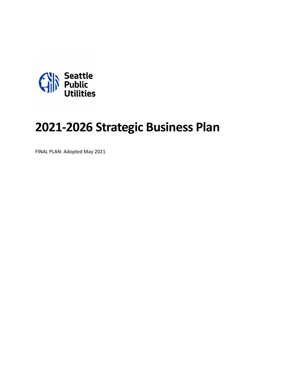

# **2021-2026 Strategic Business Plan**

FINAL PLAN: Adopted May 2021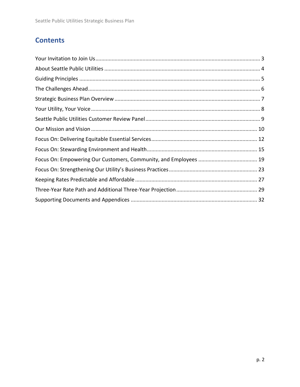# **Contents**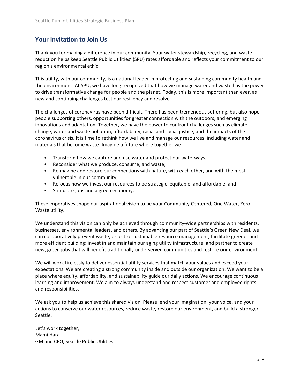# <span id="page-2-0"></span>**Your Invitation to Join Us**

Thank you for making a difference in our community. Your water stewardship, recycling, and waste reduction helps keep Seattle Public Utilities' (SPU) rates affordable and reflects your commitment to our region's environmental ethic.

This utility, with our community, is a national leader in protecting and sustaining community health and the environment. At SPU, we have long recognized that how we manage water and waste has the power to drive transformative change for people and the planet. Today, this is more important than ever, as new and continuing challenges test our resiliency and resolve.

The challenges of coronavirus have been difficult. There has been tremendous suffering, but also hope people supporting others, opportunities for greater connection with the outdoors, and emerging innovations and adaptation. Together, we have the power to confront challenges such as climate change, water and waste pollution, affordability, racial and social justice, and the impacts of the coronavirus crisis. It is time to rethink how we live and manage our resources, including water and materials that become waste. Imagine a future where together we:

- Transform how we capture and use water and protect our waterways;
- Reconsider what we produce, consume, and waste;
- Reimagine and restore our connections with nature, with each other, and with the most vulnerable in our community;
- Refocus how we invest our resources to be strategic, equitable, and affordable; and
- Stimulate jobs and a green economy.

These imperatives shape our aspirational vision to be your Community Centered, One Water, Zero Waste utility.

We understand this vision can only be achieved through community-wide partnerships with residents, businesses, environmental leaders, and others. By advancing our part of Seattle's Green New Deal, we can collaboratively prevent waste; prioritize sustainable resource management; facilitate greener and more efficient building; invest in and maintain our aging utility infrastructure; and partner to create new, green jobs that will benefit traditionally underserved communities and restore our environment.

We will work tirelessly to deliver essential utility services that match your values and exceed your expectations. We are creating a strong community inside and outside our organization. We want to be a place where equity, affordability, and sustainability guide our daily actions. We encourage continuous learning and improvement. We aim to always understand and respect customer and employee rights and responsibilities.

We ask you to help us achieve this shared vision. Please lend your imagination, your voice, and your actions to conserve our water resources, reduce waste, restore our environment, and build a stronger Seattle.

Let's work together, Mami Hara GM and CEO, Seattle Public Utilities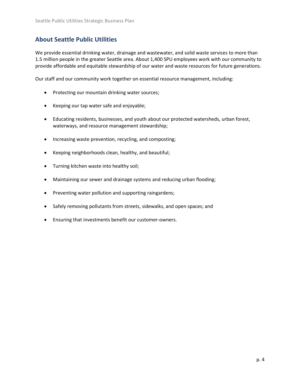# <span id="page-3-0"></span>**About Seattle Public Utilities**

We provide essential drinking water, drainage and wastewater, and solid waste services to more than 1.5 million people in the greater Seattle area. About 1,400 SPU employees work with our community to provide affordable and equitable stewardship of our water and waste resources for future generations.

Our staff and our community work together on essential resource management, including:

- Protecting our mountain drinking water sources;
- Keeping our tap water safe and enjoyable;
- Educating residents, businesses, and youth about our protected watersheds, urban forest, waterways, and resource management stewardship;
- Increasing waste prevention, recycling, and composting;
- Keeping neighborhoods clean, healthy, and beautiful;
- Turning kitchen waste into healthy soil;
- Maintaining our sewer and drainage systems and reducing urban flooding;
- Preventing water pollution and supporting raingardens;
- Safely removing pollutants from streets, sidewalks, and open spaces; and
- Ensuring that investments benefit our customer-owners.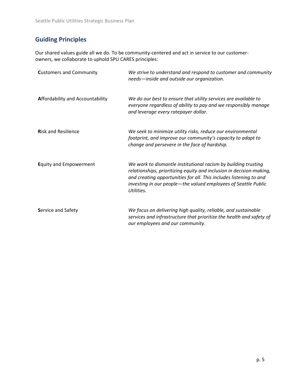# <span id="page-4-0"></span>**Guiding Principles**

Our shared values guide all we do. To be community-centered and act in service to our customerowners, we collaborate to uphold SPU CARES principles:

| <b>Customers and Community</b>          | We strive to understand and respond to customer and community<br>needs-inside and outside our organization.                                                                                                                                                                                  |
|-----------------------------------------|----------------------------------------------------------------------------------------------------------------------------------------------------------------------------------------------------------------------------------------------------------------------------------------------|
| <b>Affordability and Accountability</b> | We do our best to ensure that utility services are available to<br>everyone regardless of ability to pay and we responsibly manage<br>and leverage every ratepayer dollar.                                                                                                                   |
| <b>Risk and Resilience</b>              | We seek to minimize utility risks, reduce our environmental<br>footprint, and improve our community's capacity to adapt to<br>change and persevere in the face of hardship.                                                                                                                  |
| <b>Equity and Empowerment</b>           | We work to dismantle institutional racism by building trusting<br>relationships, prioritizing equity and inclusion in decision-making,<br>and creating opportunities for all. This includes listening to and<br>investing in our people-the valued employees of Seattle Public<br>Utilities. |
| <b>Service and Safety</b>               | We focus on delivering high quality, reliable, and sustainable<br>services and infrastructure that prioritize the health and safety of<br>our employees and our community.                                                                                                                   |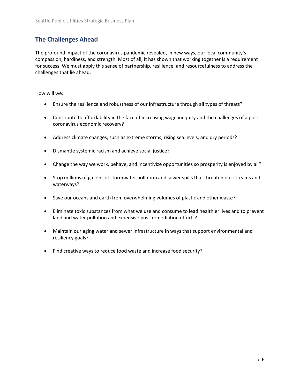# <span id="page-5-0"></span>**The Challenges Ahead**

The profound impact of the coronavirus pandemic revealed, in new ways, our local community's compassion, hardiness, and strength. Most of all, it has shown that working together is a requirement for success. We must apply this sense of partnership, resilience, and resourcefulness to address the challenges that lie ahead.

How will we:

- Ensure the resilience and robustness of our infrastructure through all types of threats?
- Contribute to affordability in the face of increasing wage inequity and the challenges of a postcoronavirus economic recovery?
- Address climate changes, such as extreme storms, rising sea levels, and dry periods?
- Dismantle systemic racism and achieve social justice?
- Change the way we work, behave, and incentivize opportunities so prosperity is enjoyed by all?
- Stop millions of gallons of stormwater pollution and sewer spills that threaten our streams and waterways?
- Save our oceans and earth from overwhelming volumes of plastic and other waste?
- Eliminate toxic substances from what we use and consume to lead healthier lives and to prevent land and water pollution and expensive post-remediation efforts?
- Maintain our aging water and sewer infrastructure in ways that support environmental and resiliency goals?
- Find creative ways to reduce food waste and increase food security?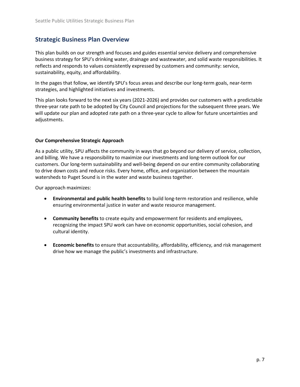# <span id="page-6-0"></span>**Strategic Business Plan Overview**

This plan builds on our strength and focuses and guides essential service delivery and comprehensive business strategy for SPU's drinking water, drainage and wastewater, and solid waste responsibilities. It reflects and responds to values consistently expressed by customers and community: service, sustainability, equity, and affordability.

In the pages that follow, we identify SPU's focus areas and describe our long-term goals, near-term strategies, and highlighted initiatives and investments.

This plan looks forward to the next six years (2021-2026) and provides our customers with a predictable three-year rate path to be adopted by City Council and projections for the subsequent three years. We will update our plan and adopted rate path on a three-year cycle to allow for future uncertainties and adjustments.

# **Our Comprehensive Strategic Approach**

As a public utility, SPU affects the community in ways that go beyond our delivery of service, collection, and billing. We have a responsibility to maximize our investments and long-term outlook for our customers. Our long-term sustainability and well-being depend on our entire community collaborating to drive down costs and reduce risks. Every home, office, and organization between the mountain watersheds to Puget Sound is in the water and waste business together.

Our approach maximizes:

- **Environmental and public health benefits** to build long-term restoration and resilience, while ensuring environmental justice in water and waste resource management.
- **Community benefits** to create equity and empowerment for residents and employees, recognizing the impact SPU work can have on economic opportunities, social cohesion, and cultural identity.
- **Economic benefits** to ensure that accountability, affordability, efficiency, and risk management drive how we manage the public's investments and infrastructure.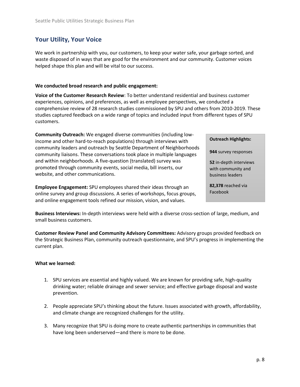# <span id="page-7-0"></span>**Your Utility, Your Voice**

We work in partnership with you, our customers, to keep your water safe, your garbage sorted, and waste disposed of in ways that are good for the environment and our community. Customer voices helped shape this plan and will be vital to our success.

# **We conducted broad research and public engagement:**

**Voice of the Customer Research Review**: To better understand residential and business customer experiences, opinions, and preferences, as well as employee perspectives, we conducted a comprehensive review of 28 research studies commissioned by SPU and others from 2010-2019. These studies captured feedback on a wide range of topics and included input from different types of SPU customers.

**Community Outreach:** We engaged diverse communities (including lowincome and other hard-to-reach populations) through interviews with community leaders and outreach by Seattle Department of Neighborhoods community liaisons. These conversations took place in multiple languages and within neighborhoods. A five-question (translated) survey was promoted through community events, social media, bill inserts, our website, and other communications.

**Employee Engagement:** SPU employees shared their ideas through an online survey and group discussions. A series of workshops, focus groups, and online engagement tools refined our mission, vision, and values.

**Outreach Highlights:**

**944** survey responses

**52** in-depth interviews with community and business leaders

**82,378** reached via Facebook

**Business Interviews:** In-depth interviews were held with a diverse cross-section of large, medium, and small business customers.

**Customer Review Panel and Community Advisory Committees:** Advisory groups provided feedback on the Strategic Business Plan, community outreach questionnaire, and SPU's progress in implementing the current plan.

# **What we learned:**

- 1. SPU services are essential and highly valued. We are known for providing safe, high-quality drinking water; reliable drainage and sewer service; and effective garbage disposal and waste prevention.
- 2. People appreciate SPU's thinking about the future. Issues associated with growth, affordability, and climate change are recognized challenges for the utility.
- 3. Many recognize that SPU is doing more to create authentic partnerships in communities that have long been underserved—and there is more to be done.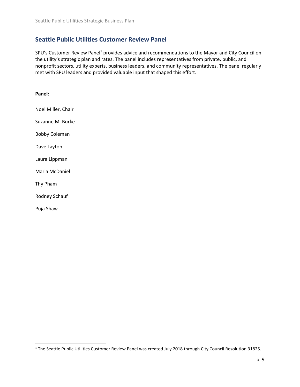# <span id="page-8-0"></span>**Seattle Public Utilities Customer Review Panel**

SPU's Customer Review Panel<sup>1</sup> provides advice and recommendations to the Mayor and City Council on the utility's strategic plan and rates. The panel includes representatives from private, public, and nonprofit sectors, utility experts, business leaders, and community representatives. The panel regularly met with SPU leaders and provided valuable input that shaped this effort.

| Panel:               |
|----------------------|
| Noel Miller, Chair   |
| Suzanne M. Burke     |
| <b>Bobby Coleman</b> |
| Dave Layton          |
| Laura Lippman        |
| Maria McDaniel       |
| Thy Pham             |
| Rodney Schauf        |
| Puja Shaw            |

<sup>1</sup> The Seattle Public Utilities Customer Review Panel was created July 2018 through City Council Resolution 31825.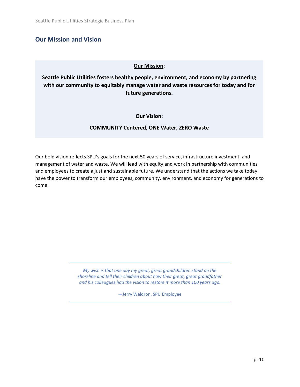# <span id="page-9-0"></span>**Our Mission and Vision**

# **Our Mission:**

**Seattle Public Utilities fosters healthy people, environment, and economy by partnering with our community to equitably manage water and waste resources for today and for future generations.**

# **Our Vision:**

# **COMMUNITY Centered, ONE Water, ZERO Waste**

Our bold vision reflects SPU's goals for the next 50 years of service, infrastructure investment, and management of water and waste. We will lead with equity and work in partnership with communities and employees to create a just and sustainable future. We understand that the actions we take today have the power to transform our employees, community, environment, and economy for generations to come.

> *My wish is that one day my great, great grandchildren stand on the shoreline and tell their children about how their great, great grandfather and his colleagues had the vision to restore it more than 100 years ago.*

> > —Jerry Waldron, SPU Employee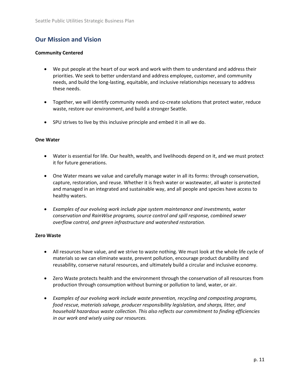# **Our Mission and Vision**

# **Community Centered**

- We put people at the heart of our work and work with them to understand and address their priorities. We seek to better understand and address employee, customer, and community needs, and build the long-lasting, equitable, and inclusive relationships necessary to address these needs.
- Together, we will identify community needs and co-create solutions that protect water, reduce waste, restore our environment, and build a stronger Seattle.
- SPU strives to live by this inclusive principle and embed it in all we do.

### **One Water**

- Water is essential for life. Our health, wealth, and livelihoods depend on it, and we must protect it for future generations.
- One Water means we value and carefully manage water in all its forms: through conservation, capture, restoration, and reuse. Whether it is fresh water or wastewater, all water is protected and managed in an integrated and sustainable way, and all people and species have access to healthy waters.
- *Examples of our evolving work include pipe system maintenance and investments, water conservation and RainWise programs, source control and spill response, combined sewer overflow control, and green infrastructure and watershed restoration.*

# **Zero Waste**

- All resources have value, and we strive to waste nothing. We must look at the whole life cycle of materials so we can eliminate waste, prevent pollution, encourage product durability and reusability, conserve natural resources, and ultimately build a circular and inclusive economy.
- Zero Waste protects health and the environment through the conservation of all resources from production through consumption without burning or pollution to land, water, or air.
- *Examples of our evolving work include waste prevention, recycling and composting programs, food rescue, materials salvage, producer responsibility legislation, and sharps, litter, and household hazardous waste collection. This also reflects our commitment to finding efficiencies in our work and wisely using our resources.*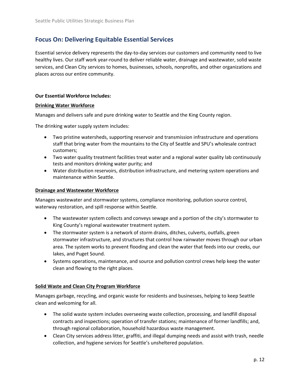# <span id="page-11-0"></span>**Focus On: Delivering Equitable Essential Services**

Essential service delivery represents the day-to-day services our customers and community need to live healthy lives. Our staff work year-round to deliver reliable water, drainage and wastewater, solid waste services, and Clean City services to homes, businesses, schools, nonprofits, and other organizations and places across our entire community.

### **Our Essential Workforce Includes:**

#### **Drinking Water Workforce**

Manages and delivers safe and pure drinking water to Seattle and the King County region.

The drinking water supply system includes:

- Two pristine watersheds, supporting reservoir and transmission infrastructure and operations staff that bring water from the mountains to the City of Seattle and SPU's wholesale contract customers;
- Two water quality treatment facilities treat water and a regional water quality lab continuously tests and monitors drinking water purity; and
- Water distribution reservoirs, distribution infrastructure, and metering system operations and maintenance within Seattle.

#### **Drainage and Wastewater Workforce**

Manages wastewater and stormwater systems, compliance monitoring, pollution source control, waterway restoration, and spill response within Seattle.

- The wastewater system collects and conveys sewage and a portion of the city's stormwater to King County's regional wastewater treatment system.
- The stormwater system is a network of storm drains, ditches, culverts, outfalls, green stormwater infrastructure, and structures that control how rainwater moves through our urban area. The system works to prevent flooding and clean the water that feeds into our creeks, our lakes, and Puget Sound.
- Systems operations, maintenance, and source and pollution control crews help keep the water clean and flowing to the right places.

### **Solid Waste and Clean City Program Workforce**

Manages garbage, recycling, and organic waste for residents and businesses, helping to keep Seattle clean and welcoming for all.

- The solid waste system includes overseeing waste collection, processing, and landfill disposal contracts and inspections; operation of transfer stations; maintenance of former landfills; and, through regional collaboration, household hazardous waste management.
- Clean City services address litter, graffiti, and illegal dumping needs and assist with trash, needle collection, and hygiene services for Seattle's unsheltered population.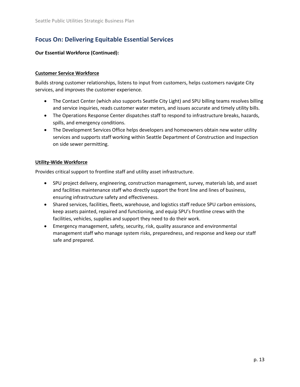# **Focus On: Delivering Equitable Essential Services**

# **Our Essential Workforce (Continued):**

# **Customer Service Workforce**

Builds strong customer relationships, listens to input from customers, helps customers navigate City services, and improves the customer experience.

- The Contact Center (which also supports Seattle City Light) and SPU billing teams resolves billing and service inquiries, reads customer water meters, and issues accurate and timely utility bills.
- The Operations Response Center dispatches staff to respond to infrastructure breaks, hazards, spills, and emergency conditions.
- The Development Services Office helps developers and homeowners obtain new water utility services and supports staff working within Seattle Department of Construction and Inspection on side sewer permitting.

# **Utility-Wide Workforce**

Provides critical support to frontline staff and utility asset infrastructure.

- SPU project delivery, engineering, construction management, survey, materials lab, and asset and facilities maintenance staff who directly support the front line and lines of business, ensuring infrastructure safety and effectiveness.
- Shared services, facilities, fleets, warehouse, and logistics staff reduce SPU carbon emissions, keep assets painted, repaired and functioning, and equip SPU's frontline crews with the facilities, vehicles, supplies and support they need to do their work.
- Emergency management, safety, security, risk, quality assurance and environmental management staff who manage system risks, preparedness, and response and keep our staff safe and prepared.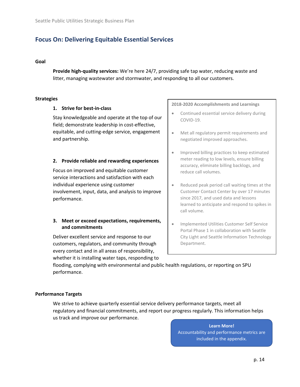# **Focus On: Delivering Equitable Essential Services**

### **Goal**

**Provide high-quality services:** We're here 24/7, providing safe tap water, reducing waste and litter, managing wastewater and stormwater, and responding to all our customers.

#### **Strategies**

#### **1. Strive for best-in-class**

Stay knowledgeable and operate at the top of our field; demonstrate leadership in cost-effective, equitable, and cutting-edge service, engagement and partnership.

#### **2. Provide reliable and rewarding experiences**

Focus on improved and equitable customer service interactions and satisfaction with each individual experience using customer involvement, input, data, and analysis to improve performance.

# **3. Meet or exceed expectations, requirements, and commitments**

Deliver excellent service and response to our customers, regulators, and community through every contact and in all areas of responsibility, whether it is installing water taps, responding to

#### **2018-2020 Accomplishments and Learnings**

- Continued essential service delivery during COVID-19.
- Met all regulatory permit requirements and negotiated improved approaches.
- Improved billing practices to keep estimated meter reading to low levels, ensure billing accuracy, eliminate billing backlogs, and reduce call volumes.
- Reduced peak period call waiting times at the Customer Contact Center by over 17 minutes since 2017, and used data and lessons learned to anticipate and respond to spikes in call volume.
- Implemented Utilities Customer Self Service Portal Phase 1 in collaboration with Seattle City Light and Seattle Information Technology Department.

flooding, complying with environmental and public health regulations, or reporting on SPU performance.

#### **Performance Targets**

We strive to achieve quarterly essential service delivery performance targets, meet all regulatory and financial commitments, and report our progress regularly. This information helps us track and improve our performance.

> **Learn More!** Accountability and performance metrics are included in the appendix.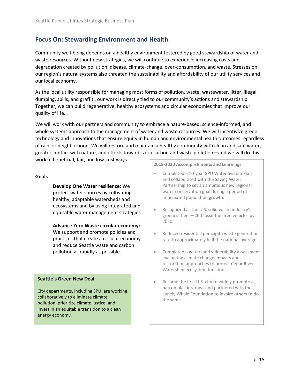<span id="page-14-0"></span>Community well-being depends on a healthy environment fostered by good stewardship of water and waste resources. Without new strategies, we will continue to experience increasing costs and degradation created by pollution, disease, climate-change, over-consumption, and waste. Stresses on our region's natural systems also threaten the sustainability and affordability of our utility services and our local economy.

As the local utility responsible for managing most forms of pollution, waste, wastewater, litter, illegal dumping, spills, and graffiti, our work is directly tied to our community's actions and stewardship. Together, we can build regenerative, healthy ecosystems and circular economies that improve our quality of life.

We will work with our partners and community to embrace a nature-based, science-informed, and whole systems approach to the management of water and waste resources. We will incentivize green technology and innovations that ensure equity in human and environmental health outcomes regardless of race or neighborhood. We will restore and maintain a healthy community with clean and safe water, greater contact with nature, and efforts towards zero carbon and waste pollution—and we will do this

work in beneficial, fair, and low-cost ways.

#### **Goals**

**Develop One Water resilience:** We protect water sources by cultivating healthy, adaptable watersheds and ecosystems and by using integrated and equitable water management strategies.

### **Advance Zero Waste circular economy:**

We support and promote policies and practices that create a circular economy and reduce Seattle waste and carbon pollution as rapidly as possible.

### **Seattle's Green New Deal**

City departments, including SPU, are working collaboratively to eliminate climate pollution, prioritize climate justice, and invest in an equitable transition to a clean energy economy.

**2018-2020 Accomplishments and Learnings** 

- Completed a 10-year SPU Water System Plan and collaborated with the Saving Water Partnership to set an ambitious new regional water conservation goal during a period of anticipated population growth.
- Recognized as the U.S. solid waste industry's greenest fleet—200 fossil-fuel free vehicles by 2020.
- Reduced residential per capita waste generation rate to approximately half the national average.
- Completed a watershed vulnerability assessment evaluating climate change impacts and restoration approaches to protect Cedar River Watershed ecosystem functions.
- Became the first U.S. city to widely promote a ban on plastic straws and partnered with the Lonely Whale Foundation to inspire others to do the same.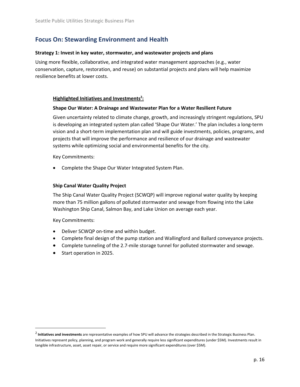#### **Strategy 1: Invest in key water, stormwater, and wastewater projects and plans**

Using more flexible, collaborative, and integrated water management approaches (e.g., water conservation, capture, restoration, and reuse) on substantial projects and plans will help maximize resilience benefits at lower costs.

# **Highlighted Initiatives and Investments<sup>2</sup> :**

#### **Shape Our Water: A Drainage and Wastewater Plan for a Water Resilient Future**

Given uncertainty related to climate change, growth, and increasingly stringent regulations, SPU is developing an integrated system plan called 'Shape Our Water.' The plan includes a long-term vision and a short-term implementation plan and will guide investments, policies, programs, and projects that will improve the performance and resilience of our drainage and wastewater systems while optimizing social and environmental benefits for the city.

Key Commitments:

• Complete the Shape Our Water Integrated System Plan.

#### **Ship Canal Water Quality Project**

The Ship Canal Water Quality Project (SCWQP) will improve regional water quality by keeping more than 75 million gallons of polluted stormwater and sewage from flowing into the Lake Washington Ship Canal, Salmon Bay, and Lake Union on average each year.

Key Commitments:

- Deliver SCWQP on-time and within budget.
- Complete final design of the pump station and Wallingford and Ballard conveyance projects.
- Complete tunneling of the 2.7-mile storage tunnel for polluted stormwater and sewage.
- Start operation in 2025.

<sup>2</sup> **Initiatives and investments** are representative examples of how SPU will advance the strategies described in the Strategic Business Plan. Initiatives represent policy, planning, and program work and generally require less significant expenditures (under \$5M). Investments result in tangible infrastructure, asset, asset repair, or service and require more significant expenditures (over \$5M).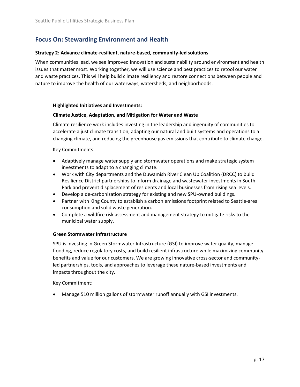# **Strategy 2: Advance climate-resilient, nature-based, community-led solutions**

When communities lead, we see improved innovation and sustainability around environment and health issues that matter most. Working together, we will use science and best practices to retool our water and waste practices. This will help build climate resiliency and restore connections between people and nature to improve the health of our waterways, watersheds, and neighborhoods.

# **Highlighted Initiatives and Investments:**

# **Climate Justice, Adaptation, and Mitigation for Water and Waste**

Climate resilience work includes investing in the leadership and ingenuity of communities to accelerate a just climate transition, adapting our natural and built systems and operations to a changing climate, and reducing the greenhouse gas emissions that contribute to climate change.

Key Commitments:

- Adaptively manage water supply and stormwater operations and make strategic system investments to adapt to a changing climate.
- Work with City departments and the Duwamish River Clean Up Coalition (DRCC) to build Resilience District partnerships to inform drainage and wastewater investments in South Park and prevent displacement of residents and local businesses from rising sea levels.
- Develop a de-carbonization strategy for existing and new SPU-owned buildings.
- Partner with King County to establish a carbon emissions footprint related to Seattle-area consumption and solid waste generation.
- Complete a wildfire risk assessment and management strategy to mitigate risks to the municipal water supply.

# **Green Stormwater Infrastructure**

SPU is investing in Green Stormwater Infrastructure (GSI) to improve water quality, manage flooding, reduce regulatory costs, and build resilient infrastructure while maximizing community benefits and value for our customers. We are growing innovative cross-sector and communityled partnerships, tools, and approaches to leverage these nature-based investments and impacts throughout the city.

Key Commitment:

• Manage 510 million gallons of stormwater runoff annually with GSI investments.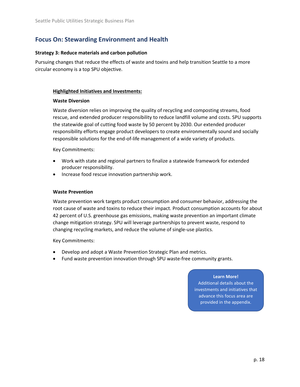### **Strategy 3: Reduce materials and carbon pollution**

Pursuing changes that reduce the effects of waste and toxins and help transition Seattle to a more circular economy is a top SPU objective.

### **Highlighted Initiatives and Investments:**

### **Waste Diversion**

Waste diversion relies on improving the quality of recycling and composting streams, food rescue, and extended producer responsibility to reduce landfill volume and costs. SPU supports the statewide goal of cutting food waste by 50 percent by 2030. Our extended producer responsibility efforts engage product developers to create environmentally sound and socially responsible solutions for the end-of-life management of a wide variety of products.

Key Commitments:

- Work with state and regional partners to finalize a statewide framework for extended producer responsibility.
- Increase food rescue innovation partnership work.

#### **Waste Prevention**

Waste prevention work targets product consumption and consumer behavior, addressing the root cause of waste and toxins to reduce their impact. Product consumption accounts for about 42 percent of U.S. greenhouse gas emissions, making waste prevention an important climate change mitigation strategy. SPU will leverage partnerships to prevent waste, respond to changing recycling markets, and reduce the volume of single-use plastics.

Key Commitments:

- Develop and adopt a Waste Prevention Strategic Plan and metrics.
- Fund waste prevention innovation through SPU waste-free community grants.

#### **Learn More!**

Additional details about the investments and initiatives that advance this focus area are provided in the appendix.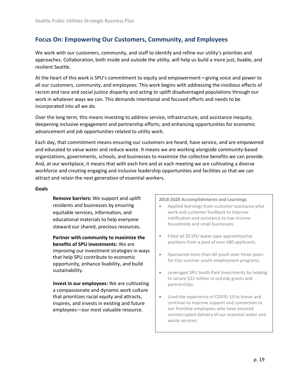<span id="page-18-0"></span>We work with our customers, community, and staff to identify and refine our utility's priorities and approaches. Collaboration, both inside and outside the utility, will help us build a more just, livable, and resilient Seattle.

At the heart of this work is SPU's commitment to equity and empowerment—giving voice and power to all our customers, community, and employees. This work begins with addressing the insidious effects of racism and race and social justice disparity and acting to uplift disadvantaged populations through our work in whatever ways we can. This demands intentional and focused efforts and needs to be incorporated into all we do.

Over the long term, this means investing to address service, infrastructure, and assistance inequity; deepening inclusive engagement and partnership efforts; and enhancing opportunities for economic advancement and job opportunities related to utility work.

Each day, that commitment means ensuring our customers are heard, have service, and are empowered and educated to value water and reduce waste. It means we are working alongside community-based organizations, governments, schools, and businesses to maximize the collective benefits we can provide. And, at our workplace, it means that with each hire and at each meeting we are cultivating a diverse workforce and creating engaging and inclusive leadership opportunities and facilities so that we can attract and retain the next generation of essential workers.

#### **Goals**

**Remove barriers:** We support and uplift residents and businesses by ensuring equitable services, information, and educational materials to help everyone steward our shared, precious resources.

**Partner with community to maximize the benefits of SPU investments:** We are improving our investment strategies in ways that help SPU contribute to economic opportunity, enhance livability, and build sustainability.

**Invest in our employees:** We are cultivating a compassionate and dynamic work culture that prioritizes racial equity and attracts, inspires, and invests in existing and future employees—our most valuable resource.

**2018-2020 Accomplishments and Learnings**

- Applied learnings from customer assistance pilot work and customer feedback to improve notification and assistance to low-income households and small businesses.
- Filled all 20 SPU water pipe apprenticeship positions from a pool of over 680 applicants.
- Sponsored more than 60 youth over three years for City summer youth employment programs.
- Leveraged SPU South Park investments by helping to secure \$22 million in outside grants and partnerships.
- Used the experience of COVID-19 to honor and continue to improve support and connection to our frontline employees who have ensured uninterrupted delivery of our essential water and waste services.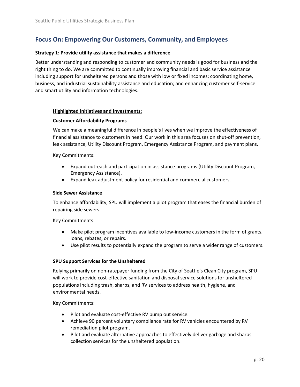# **Strategy 1: Provide utility assistance that makes a difference**

Better understanding and responding to customer and community needs is good for business and the right thing to do. We are committed to continually improving financial and basic service assistance including support for unsheltered persons and those with low or fixed incomes; coordinating home, business, and industrial sustainability assistance and education; and enhancing customer self-service and smart utility and information technologies.

# **Highlighted Initiatives and Investments:**

# **Customer Affordability Programs**

We can make a meaningful difference in people's lives when we improve the effectiveness of financial assistance to customers in need. Our work in this area focuses on shut-off prevention, leak assistance, Utility Discount Program, Emergency Assistance Program, and payment plans.

Key Commitments:

- Expand outreach and participation in assistance programs (Utility Discount Program, Emergency Assistance).
- Expand leak adjustment policy for residential and commercial customers.

# **Side Sewer Assistance**

To enhance affordability, SPU will implement a pilot program that eases the financial burden of repairing side sewers.

Key Commitments:

- Make pilot program incentives available to low-income customers in the form of grants, loans, rebates, or repairs.
- Use pilot results to potentially expand the program to serve a wider range of customers.

# **SPU Support Services for the Unsheltered**

Relying primarily on non-ratepayer funding from the City of Seattle's Clean City program, SPU will work to provide cost-effective sanitation and disposal service solutions for unsheltered populations including trash, sharps, and RV services to address health, hygiene, and environmental needs.

Key Commitments:

- Pilot and evaluate cost-effective RV pump out service.
- Achieve 90 percent voluntary compliance rate for RV vehicles encountered by RV remediation pilot program.
- Pilot and evaluate alternative approaches to effectively deliver garbage and sharps collection services for the unsheltered population.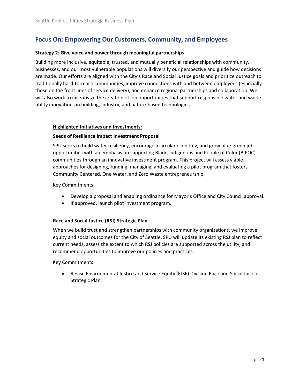### **Strategy 2: Give voice and power through meaningful partnerships**

Building more inclusive, equitable, trusted, and mutually beneficial relationships with community, businesses, and our most vulnerable populations will diversify our perspective and guide how decisions are made. Our efforts are aligned with the City's Race and Social Justice goals and prioritize outreach to traditionally hard-to-reach communities, improve connections with and between employees (especially those on the front lines of service delivery), and enhance regional partnerships and collaboration. We will also work to incentivize the creation of job opportunities that support responsible water and waste utility innovations in building, industry, and nature-based technologies.

### **Highlighted Initiatives and Investments:**

### **Seeds of Resilience Impact Investment Proposal**

SPU seeks to build water resiliency, encourage a circular economy, and grow blue-green job opportunities with an emphasis on supporting Black, Indigenous and People of Color (BIPOC) communities through an innovative investment program. This project will assess viable approaches for designing, funding, managing, and evaluating a pilot program that fosters Community Centered, One Water, and Zero Waste entrepreneurship.

Key Commitments:

- Develop a proposal and enabling ordinance for Mayor's Office and City Council approval.
- If approved, launch pilot investment program.

# **Race and Social Justice (RSJ) Strategic Plan**

When we build trust and strengthen partnerships with community organizations, we improve equity and social outcomes for the City of Seattle. SPU will update its existing RSJ plan to reflect current needs, assess the extent to which RSJ policies are supported across the utility, and recommend opportunities to improve our policies and practices.

Key Commitments:

• Revise Environmental Justice and Service Equity (EJSE) Division Race and Social Justice Strategic Plan.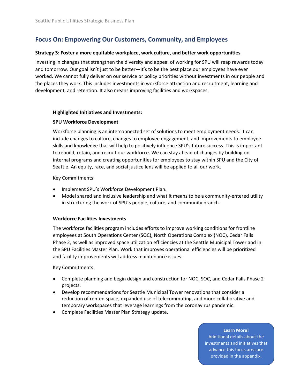#### **Strategy 3: Foster a more equitable workplace, work culture, and better work opportunities**

Investing in changes that strengthen the diversity and appeal of working for SPU will reap rewards today and tomorrow. Our goal isn't just to be better—it's to be the best place our employees have ever worked. We cannot fully deliver on our service or policy priorities without investments in our people and the places they work. This includes investments in workforce attraction and recruitment, learning and development, and retention. It also means improving facilities and workspaces.

#### **Highlighted Initiatives and Investments:**

### **SPU Workforce Development**

Workforce planning is an interconnected set of solutions to meet employment needs. It can include changes to culture, changes to employee engagement, and improvements to employee skills and knowledge that will help to positively influence SPU's future success. This is important to rebuild, retain, and recruit our workforce. We can stay ahead of changes by building on internal programs and creating opportunities for employees to stay within SPU and the City of Seattle. An equity, race, and social justice lens will be applied to all our work.

Key Commitments:

- Implement SPU's Workforce Development Plan.
- Model shared and inclusive leadership and what it means to be a community-entered utility in structuring the work of SPU's people, culture, and community branch.

### **Workforce Facilities Investments**

The workforce facilities program includes efforts to improve working conditions for frontline employees at South Operations Center (SOC), North Operations Complex (NOC), Cedar Falls Phase 2, as well as improved space utilization efficiencies at the Seattle Municipal Tower and in the SPU Facilities Master Plan. Work that improves operational efficiencies will be prioritized and facility improvements will address maintenance issues.

Key Commitments:

- Complete planning and begin design and construction for NOC, SOC, and Cedar Falls Phase 2 projects.
- Develop recommendations for Seattle Municipal Tower renovations that consider a reduction of rented space, expanded use of telecommuting, and more collaborative and temporary workspaces that leverage learnings from the coronavirus pandemic.
- Complete Facilities Master Plan Strategy update.

# provided in the appendix. **Learn More!** Additional details about the investments and initiatives that advance this focus area are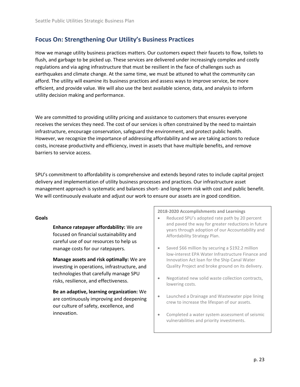<span id="page-22-0"></span>How we manage utility business practices matters. Our customers expect their faucets to flow, toilets to flush, and garbage to be picked up. These services are delivered under increasingly complex and costly regulations and via aging infrastructure that must be resilient in the face of challenges such as earthquakes and climate change. At the same time, we must be attuned to what the community can afford. The utility will examine its business practices and assess ways to improve service, be more efficient, and provide value. We will also use the best available science, data, and analysis to inform utility decision making and performance.

We are committed to providing utility pricing and assistance to customers that ensures everyone receives the services they need. The cost of our services is often constrained by the need to maintain infrastructure, encourage conservation, safeguard the environment, and protect public health. However, we recognize the importance of addressing affordability and we are taking actions to reduce costs, increase productivity and efficiency, invest in assets that have multiple benefits, and remove barriers to service access.

SPU's commitment to affordability is comprehensive and extends beyond rates to include capital project delivery and implementation of utility business processes and practices. Our infrastructure asset management approach is systematic and balances short- and long-term risk with cost and public benefit. We will continuously evaluate and adjust our work to ensure our assets are in good condition.

### **Goals**

**Enhance ratepayer affordability:** We are focused on financial sustainability and careful use of our resources to help us manage costs for our ratepayers.

**Manage assets and risk optimally:** We are investing in operations, infrastructure, and technologies that carefully manage SPU risks, resilience, and effectiveness.

**Be an adaptive, learning organization:** We are continuously improving and deepening our culture of safety, excellence, and innovation.

**2018-2020 Accomplishments and Learnings**

- Reduced SPU's adopted rate path by 20 percent and paved the way for greater reductions in future years through adoption of our Accountability and Affordability Strategy Plan.
- Saved \$66 million by securing a \$192.2 million low-interest EPA Water Infrastructure Finance and Innovation Act loan for the Ship Canal Water Quality Project and broke ground on its delivery.
- Negotiated new solid waste collection contracts, lowering costs.
- Launched a Drainage and Wastewater pipe lining crew to increase the lifespan of our assets.
- Completed a water system assessment of seismic vulnerabilities and priority investments.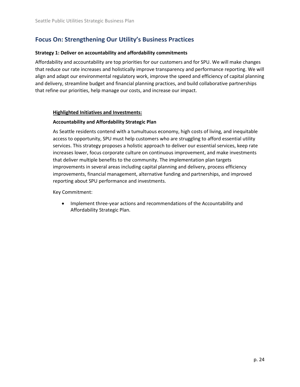### **Strategy 1: Deliver on accountability and affordability commitments**

Affordability and accountability are top priorities for our customers and for SPU. We will make changes that reduce our rate increases and holistically improve transparency and performance reporting. We will align and adapt our environmental regulatory work, improve the speed and efficiency of capital planning and delivery, streamline budget and financial planning practices, and build collaborative partnerships that refine our priorities, help manage our costs, and increase our impact.

### **Highlighted Initiatives and Investments:**

# **Accountability and Affordability Strategic Plan**

As Seattle residents contend with a tumultuous economy, high costs of living, and inequitable access to opportunity, SPU must help customers who are struggling to afford essential utility services. This strategy proposes a holistic approach to deliver our essential services, keep rate increases lower, focus corporate culture on continuous improvement, and make investments that deliver multiple benefits to the community. The implementation plan targets improvements in several areas including capital planning and delivery, process efficiency improvements, financial management, alternative funding and partnerships, and improved reporting about SPU performance and investments.

Key Commitment:

• Implement three-year actions and recommendations of the Accountability and Affordability Strategic Plan.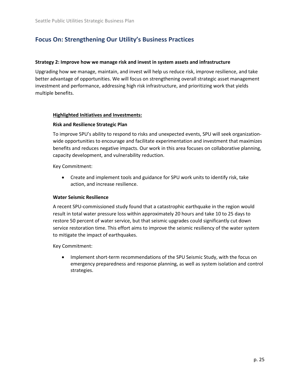### **Strategy 2: Improve how we manage risk and invest in system assets and infrastructure**

Upgrading how we manage, maintain, and invest will help us reduce risk, improve resilience, and take better advantage of opportunities. We will focus on strengthening overall strategic asset management investment and performance, addressing high risk infrastructure, and prioritizing work that yields multiple benefits.

### **Highlighted Initiatives and Investments:**

### **Risk and Resilience Strategic Plan**

To improve SPU's ability to respond to risks and unexpected events, SPU will seek organizationwide opportunities to encourage and facilitate experimentation and investment that maximizes benefits and reduces negative impacts. Our work in this area focuses on collaborative planning, capacity development, and vulnerability reduction.

Key Commitment:

• Create and implement tools and guidance for SPU work units to identify risk, take action, and increase resilience.

### **Water Seismic Resilience**

A recent SPU-commissioned study found that a catastrophic earthquake in the region would result in total water pressure loss within approximately 20 hours and take 10 to 25 days to restore 50 percent of water service, but that seismic upgrades could significantly cut down service restoration time. This effort aims to improve the seismic resiliency of the water system to mitigate the impact of earthquakes.

Key Commitment:

• Implement short-term recommendations of the SPU Seismic Study, with the focus on emergency preparedness and response planning, as well as system isolation and control strategies.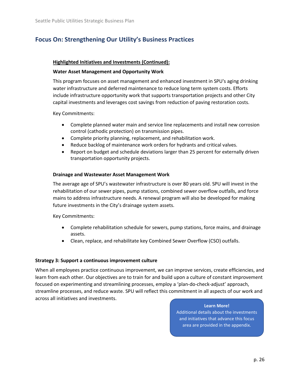### **Highlighted Initiatives and Investments (Continued):**

### **Water Asset Management and Opportunity Work**

This program focuses on asset management and enhanced investment in SPU's aging drinking water infrastructure and deferred maintenance to reduce long term system costs. Efforts include infrastructure opportunity work that supports transportation projects and other City capital investments and leverages cost savings from reduction of paving restoration costs.

Key Commitments:

- Complete planned water main and service line replacements and install new corrosion control (cathodic protection) on transmission pipes.
- Complete priority planning, replacement, and rehabilitation work.
- Reduce backlog of maintenance work orders for hydrants and critical valves.
- Report on budget and schedule deviations larger than 25 percent for externally driven transportation opportunity projects.

### **Drainage and Wastewater Asset Management Work**

The average age of SPU's wastewater infrastructure is over 80 years old. SPU will invest in the rehabilitation of our sewer pipes, pump stations, combined sewer overflow outfalls, and force mains to address infrastructure needs. A renewal program will also be developed for making future investments in the City's drainage system assets.

Key Commitments:

- Complete rehabilitation schedule for sewers, pump stations, force mains, and drainage assets.
- Clean, replace, and rehabilitate key Combined Sewer Overflow (CSO) outfalls.

### **Strategy 3: Support a continuous improvement culture**

When all employees practice continuous improvement, we can improve services, create efficiencies, and learn from each other. Our objectives are to train for and build upon a culture of constant improvement focused on experimenting and streamlining processes, employ a 'plan-do-check-adjust' approach, streamline processes, and reduce waste. SPU will reflect this commitment in all aspects of our work and across all initiatives and investments.

### **Learn More!**

Additional details about the investments and initiatives that advance this focus area are provided in the appendix.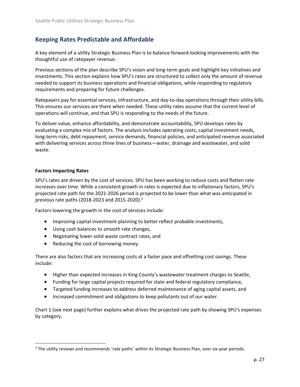# <span id="page-26-0"></span>**Keeping Rates Predictable and Affordable**

A key element of a utility Strategic Business Plan is to balance forward-looking improvements with the thoughtful use of ratepayer revenue.

Previous sections of the plan describe SPU's vision and long-term goals and highlight key initiatives and investments. This section explains how SPU's rates are structured to collect only the amount of revenue needed to support its business operations and financial obligations, while responding to regulatory requirements and preparing for future challenges.

Ratepayers pay for essential services, infrastructure, and day-to-day operations through their utility bills. This ensures our services are there when needed. These utility rates assume that the current level of operations will continue, and that SPU is responding to the needs of the future.

To deliver value, enhance affordability, and demonstrate accountability, SPU develops rates by evaluating a complex mix of factors. The analysis includes operating costs, capital investment needs, long-term risks, debt repayment, service demands, financial policies, and anticipated revenue associated with delivering services across three lines of business—water, drainage and wastewater, and solid waste.

# **Factors Impacting Rates**

SPU's rates are driven by the cost of services. SPU has been working to reduce costs and flatten rate increases over time. While a consistent growth in rates is expected due to inflationary factors, SPU's projected rate path for the 2021-2026 period is projected to be lower than what was anticipated in previous rate paths (2018-2023 and 2015-2020).<sup>3</sup>

Factors lowering the growth in the cost of services include:

- Improving capital investment planning to better reflect probable investments,
- Using cash balances to smooth rate changes,
- Negotiating lower solid waste contract rates, and
- Reducing the cost of borrowing money.

There are also factors that are increasing costs at a faster pace and offsetting cost savings. These include:

- Higher than expected increases in King County's wastewater treatment charges to Seattle,
- Funding for large capital projects required for state and federal regulatory compliance,
- Targeted funding increases to address deferred maintenance of aging capital assets, and
- Increased commitment and obligations to keep pollutants out of our water.

Chart 1 (see next page) further explains what drives the projected rate path by showing SPU's expenses by category.

<sup>&</sup>lt;sup>3</sup> The utility reviews and recommends 'rate paths' within its Strategic Business Plan, over six-year periods.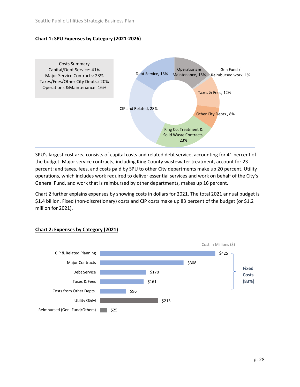# **Chart 1: SPU Expenses by Category (2021-2026)**



SPU's largest cost area consists of capital costs and related debt service, accounting for 41 percent of the budget. Major service contracts, including King County wastewater treatment, account for 23 percent; and taxes, fees, and costs paid by SPU to other City departments make up 20 percent. Utility operations, which includes work required to deliver essential services and work on behalf of the City's General Fund, and work that is reimbursed by other departments, makes up 16 percent.

Chart 2 further explains expenses by showing costs in dollars for 2021. The total 2021 annual budget is \$1.4 billion. Fixed (non-discretionary) costs and CIP costs make up 83 percent of the budget (or \$1.2 million for 2021).



# **Chart 2: Expenses by Category (2021)**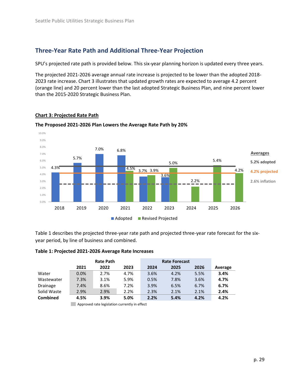# <span id="page-28-0"></span>**Three-Year Rate Path and Additional Three-Year Projection**

SPU's projected rate path is provided below. This six-year planning horizon is updated every three years.

The projected 2021-2026 average annual rate increase is projected to be lower than the adopted 2018- 2023 rate increase. Chart 3 illustrates that updated growth rates are expected to average 4.2 percent (orange line) and 20 percent lower than the last adopted Strategic Business Plan, and nine percent lower than the 2015-2020 Strategic Business Plan.

# **Chart 3: Projected Rate Path**



### **The Proposed 2021-2026 Plan Lowers the Average Rate Path by 20%**

Table 1 describes the projected three-year rate path and projected three-year rate forecast for the sixyear period, by line of business and combined.

### **Table 1: Projected 2021-2026 Average Rate Increases**

|             | <b>Rate Path</b> |      | <b>Rate Forecast</b> |      |      |      |         |
|-------------|------------------|------|----------------------|------|------|------|---------|
|             | 2021             | 2022 | 2023                 | 2024 | 2025 | 2026 | Average |
| Water       | $0.0\%$          | 2.7% | 4.7%                 | 3.6% | 4.2% | 5.5% | 3.4%    |
| Wastewater  | 7.3%             | 3.1% | 5.9%                 | 0.5% | 7.8% | 3.6% | 4.7%    |
| Drainage    | 7.4%             | 8.6% | 7.2%                 | 3.9% | 6.5% | 6.7% | 6.7%    |
| Solid Waste | 2.9%             | 2.9% | 2.2%                 | 2.3% | 2.1% | 2.1% | 2.4%    |
| Combined    | 4.5%             | 3.9% | 5.0%                 | 2.2% | 5.4% | 4.2% | 4.2%    |

**Approved rate legislation currently in effect**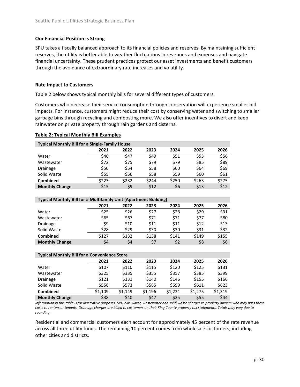# **Our Financial Position is Strong**

SPU takes a fiscally balanced approach to its financial policies and reserves. By maintaining sufficient reserves, the utility is better able to weather fluctuations in revenues and expenses and navigate financial uncertainty. These prudent practices protect our asset investments and benefit customers through the avoidance of extraordinary rate increases and volatility.

### **Rate Impact to Customers**

Table 2 below shows typical monthly bills for several different types of customers.

Customers who decrease their service consumption through conservation will experience smaller bill impacts. For instance, customers might reduce their cost by conserving water and switching to smaller garbage bins through recycling and composting more. We also offer incentives to divert and keep rainwater on private property through rain gardens and cisterns.

### **Table 2: Typical Monthly Bill Examples**

| <b>Typical Monthly Bill for a Single-Family House</b>            |         |         |         |         |         |         |
|------------------------------------------------------------------|---------|---------|---------|---------|---------|---------|
|                                                                  | 2021    | 2022    | 2023    | 2024    | 2025    | 2026    |
| Water                                                            | \$46    | \$47    | \$49    | \$51    | \$53    | \$56    |
| Wastewater                                                       | \$72    | \$75    | \$79    | \$79    | \$85    | \$89    |
| Drainage                                                         | \$50    | \$54    | \$58    | \$60    | \$64    | \$69    |
| Solid Waste                                                      | \$55    | \$56    | \$58    | \$59    | \$60    | \$61    |
| <b>Combined</b>                                                  | \$223   | \$232   | \$244   | \$250   | \$263   | \$275   |
| <b>Monthly Change</b>                                            | \$15    | \$9     | \$12    | \$6     | \$13    | \$12    |
|                                                                  |         |         |         |         |         |         |
| Typical Monthly Bill for a Multifamily Unit (Apartment Building) |         |         |         |         |         |         |
|                                                                  | 2021    | 2022    | 2023    | 2024    | 2025    | 2026    |
| Water                                                            | \$25    | \$26    | \$27    | \$28    | \$29    | \$31    |
| Wastewater                                                       | \$65    | \$67    | \$71    | \$71    | \$77    | \$80    |
| Drainage                                                         | \$9     | \$10    | \$11    | \$11    | \$12    | \$13    |
| Solid Waste                                                      | \$28    | \$29    | \$30    | \$30    | \$31    | \$32    |
| <b>Combined</b>                                                  | \$127   | \$132   | \$138   | \$141   | \$149   | \$155   |
| <b>Monthly Change</b>                                            | \$4     | \$4     | \$7     | \$2     | \$8     | \$6     |
|                                                                  |         |         |         |         |         |         |
| <b>Typical Monthly Bill for a Convenience Store</b>              |         |         |         |         |         |         |
|                                                                  | 2021    | 2022    | 2023    | 2024    | 2025    | 2026    |
| Water                                                            | \$107   | \$110   | \$115   | \$120   | \$125   | \$131   |
| Wastewater                                                       | \$325   | \$335   | \$355   | \$357   | \$385   | \$399   |
| Drainage                                                         | \$121   | \$131   | \$140   | \$146   | \$155   | \$166   |
| Solid Waste                                                      | \$556   | \$573   | \$585   | \$599   | \$611   | \$623   |
| Combined                                                         | \$1,109 | \$1,149 | \$1,196 | \$1,221 | \$1,275 | \$1,319 |
| <b>Monthly Change</b>                                            | \$38    | \$40    | \$47    | \$25    | \$55    | \$44    |

*Information in this table is for illustrative purposes. SPU bills water, wastewater and solid waste charges to property owners who may pass these costs to renters or tenants. Drainage charges are billed to customers on their King County property tax statements. Totals may vary due to rounding.*

Residential and commercial customers each account for approximately 45 percent of the rate revenue across all three utility funds. The remaining 10 percent comes from wholesale customers, including other cities and districts.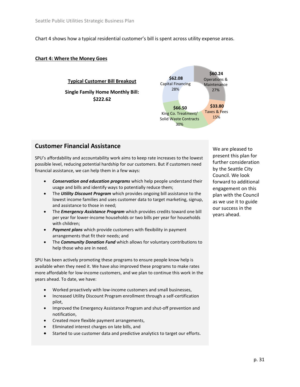Chart 4 shows how a typical residential customer's bill is spent across utility expense areas.

#### **Chart 4: Where the Money Goes**

### **\$62.08**  Capital Financing 28% **Typical Customer Bill Breakout Single Family Home Monthly Bill: \$222.62**



# **Customer Financial Assistance**

SPU's affordability and accountability work aims to keep rate increases to the lowest possible level, reducing potential hardship for our customers. But if customers need financial assistance, we can help them in a few ways:

- *Conservation and education programs* which help people understand their usage and bills and identify ways to potentially reduce them;
- The *Utility Discount Program* which provides ongoing bill assistance to the lowest income families and uses customer data to target marketing, signup, and assistance to those in need;
- The *Emergency Assistance Program* which provides credits toward one bill per year for lower-income households or two bills per year for households with children;
- *Payment plans* which provide customers with flexibility in payment arrangements that fit their needs; and
- The *Community Donation Fund* which allows for voluntary contributions to help those who are in need.

SPU has been actively promoting these programs to ensure people know help is available when they need it. We have also improved these programs to make rates more affordable for low-income customers, and we plan to continue this work in the years ahead. To date, we have:

- Worked proactively with low-income customers and small businesses,
- Increased Utility Discount Program enrollment through a self-certification pilot,
- Improved the Emergency Assistance Program and shut-off prevention and notification,
- Created more flexible payment arrangements,
- Eliminated interest charges on late bills, and
- Started to use customer data and predictive analytics to target our efforts.

We are pleased to present this plan for further consideration by the Seattle City Council. We look forward to additional engagement on this plan with the Council as we use it to guide our success in the years ahead.